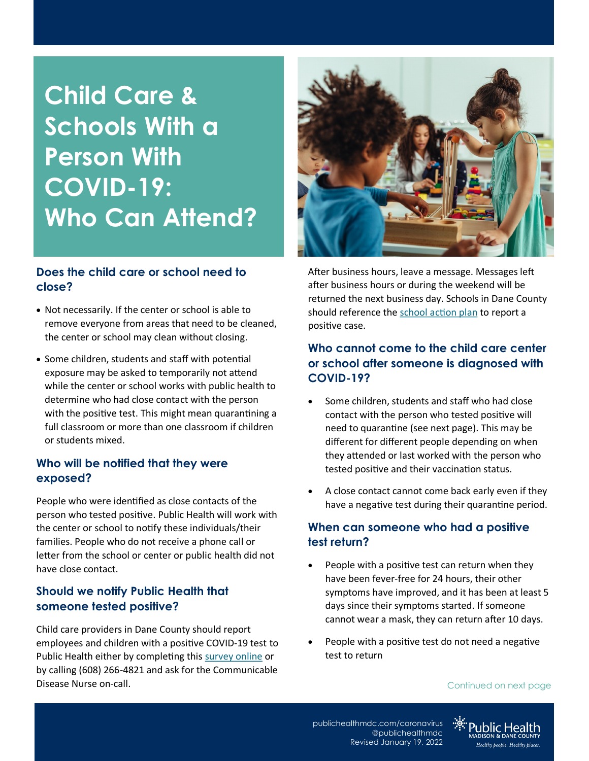# **Child Care & Schools With a Person With COVID-19: Who Can Attend?**

## **Does the child care or school need to close?**

- Not necessarily. If the center or school is able to remove everyone from areas that need to be cleaned, the center or school may clean without closing.
- Some children, students and staff with potential exposure may be asked to temporarily not attend while the center or school works with public health to determine who had close contact with the person with the positive test. This might mean quarantining a full classroom or more than one classroom if children or students mixed.

## **Who will be notified that they were exposed?**

People who were identified as close contacts of the person who tested positive. Public Health will work with the center or school to notify these individuals/their families. People who do not receive a phone call or letter from the school or center or public health did not have close contact.

# **Should we notify Public Health that someone tested positive?**

Child care providers in Dane County should report employees and children with a positive COVID-19 test to Public Health either by completing this [survey online](https://survey.alchemer.com/s3/6077749/Child-Care-COVID-Reporting) or by calling (608) 266-4821 and ask for the Communicable Disease Nurse on-call.



After business hours, leave a message. Messages left after business hours or during the weekend will be returned the next business day. Schools in Dane County should reference the [school action plan](https://www.publichealthmdc.com/documents/school_action_plan.pdf) to report a positive case.

# **Who cannot come to the child care center or school after someone is diagnosed with COVID-19?**

- Some children, students and staff who had close contact with the person who tested positive will need to quarantine (see next page). This may be different for different people depending on when they attended or last worked with the person who tested positive and their vaccination status.
- A close contact cannot come back early even if they have a negative test during their quarantine period.

## **When can someone who had a positive test return?**

- People with a positive test can return when they have been fever-free for 24 hours, their other symptoms have improved, and it has been at least 5 days since their symptoms started. If someone cannot wear a mask, they can return after 10 days.
- People with a positive test do not need a negative test to return

Continued on next page

[publichealthmdc.com/coronavirus](http://publichealthmdc.com/coronavirus) @publichealthmdc Revised January 19, 2022